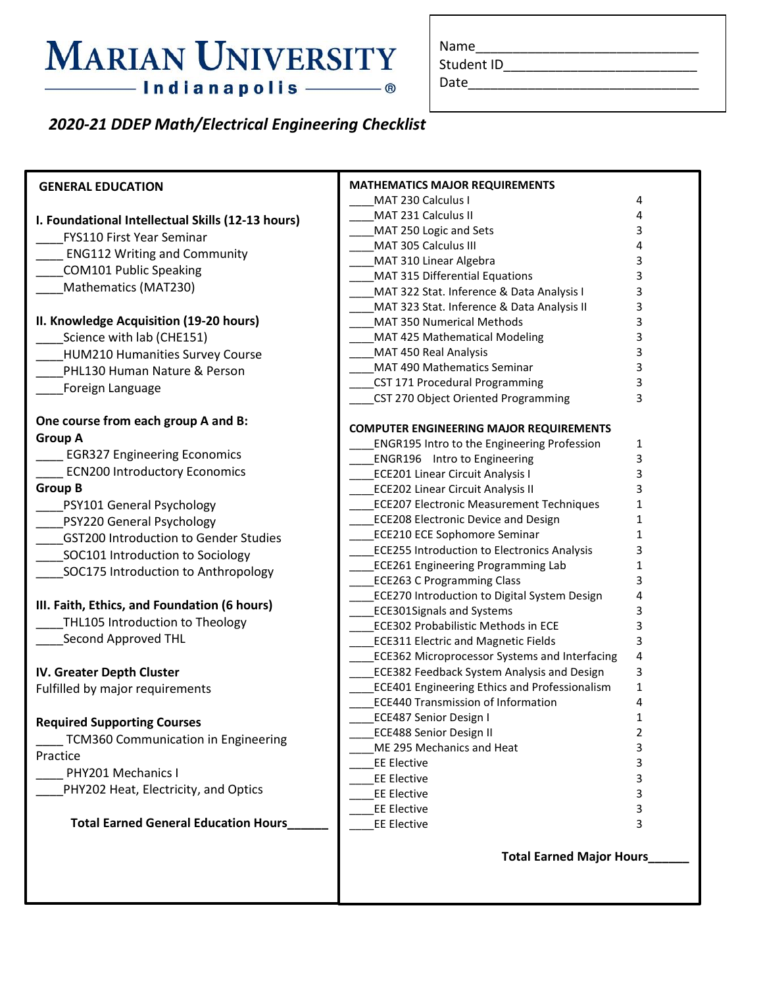## **MARIAN UNIVERSITY** - Indianapolis - ®

| Name |  |  |  |
|------|--|--|--|
|      |  |  |  |

Student ID\_\_\_\_\_\_\_\_\_\_\_\_\_\_\_\_\_\_\_\_\_\_\_\_\_\_

```
Date_______________________________
```
### *2020-21 DDEP Math/Electrical Engineering Checklist*

| <b>GENERAL EDUCATION</b>                          | <b>MATHEMATICS MAJOR REQUIREMENTS</b>                                                           |                   |
|---------------------------------------------------|-------------------------------------------------------------------------------------------------|-------------------|
|                                                   | MAT 230 Calculus I                                                                              | 4                 |
| I. Foundational Intellectual Skills (12-13 hours) | MAT 231 Calculus II                                                                             | 4                 |
| FYS110 First Year Seminar                         | MAT 250 Logic and Sets                                                                          | 3<br>4            |
| <b>ENG112 Writing and Community</b>               | MAT 305 Calculus III<br>MAT 310 Linear Algebra                                                  | 3                 |
| <b>COM101 Public Speaking</b>                     | MAT 315 Differential Equations                                                                  | 3                 |
| Mathematics (MAT230)                              | MAT 322 Stat. Inference & Data Analysis I                                                       | 3                 |
|                                                   | MAT 323 Stat. Inference & Data Analysis II                                                      | 3                 |
| II. Knowledge Acquisition (19-20 hours)           | <b>MAT 350 Numerical Methods</b>                                                                | 3                 |
| Science with lab (CHE151)                         | MAT 425 Mathematical Modeling                                                                   | 3                 |
| <b>HUM210 Humanities Survey Course</b>            | MAT 450 Real Analysis                                                                           | 3                 |
| PHL130 Human Nature & Person                      | MAT 490 Mathematics Seminar                                                                     | 3                 |
| Foreign Language                                  | CST 171 Procedural Programming                                                                  | 3                 |
|                                                   | CST 270 Object Oriented Programming                                                             | 3                 |
| One course from each group A and B:               |                                                                                                 |                   |
| <b>Group A</b>                                    | <b>COMPUTER ENGINEERING MAJOR REQUIREMENTS</b>                                                  |                   |
|                                                   | <b>ENGR195 Intro to the Engineering Profession</b>                                              | 1                 |
| <b>EGR327 Engineering Economics</b>               | <b>ENGR196</b> Intro to Engineering                                                             | 3                 |
| <b>ECN200 Introductory Economics</b>              | <b>ECE201 Linear Circuit Analysis I</b>                                                         | 3                 |
| <b>Group B</b>                                    | <b>ECE202 Linear Circuit Analysis II</b>                                                        | 3                 |
| PSY101 General Psychology                         | <b>ECE207 Electronic Measurement Techniques</b>                                                 | 1                 |
| PSY220 General Psychology                         | <b>ECE208 Electronic Device and Design</b>                                                      | 1                 |
| <b>GST200 Introduction to Gender Studies</b>      | <b>ECE210 ECE Sophomore Seminar</b>                                                             | 1                 |
| SOC101 Introduction to Sociology                  | <b>ECE255 Introduction to Electronics Analysis</b><br><b>ECE261 Engineering Programming Lab</b> | 3<br>$\mathbf{1}$ |
| SOC175 Introduction to Anthropology               | <b>ECE263 C Programming Class</b>                                                               | 3                 |
|                                                   | <b>ECE270 Introduction to Digital System Design</b>                                             | 4                 |
| III. Faith, Ethics, and Foundation (6 hours)      | <b>ECE301Signals and Systems</b>                                                                | 3                 |
| THL105 Introduction to Theology                   | <b>ECE302 Probabilistic Methods in ECE</b>                                                      | 3                 |
| Second Approved THL                               | <b>ECE311 Electric and Magnetic Fields</b>                                                      | 3                 |
|                                                   | <b>ECE362 Microprocessor Systems and Interfacing</b>                                            | 4                 |
| IV. Greater Depth Cluster                         | <b>ECE382 Feedback System Analysis and Design</b>                                               | 3                 |
| Fulfilled by major requirements                   | ECE401 Engineering Ethics and Professionalism                                                   | 1                 |
|                                                   | <b>ECE440 Transmission of Information</b>                                                       | 4                 |
| <b>Required Supporting Courses</b>                | <b>ECE487 Senior Design I</b>                                                                   | 1                 |
| TCM360 Communication in Engineering               | <b>ECE488 Senior Design II</b>                                                                  | 2                 |
| Practice                                          | ME 295 Mechanics and Heat                                                                       | 3                 |
| PHY201 Mechanics I                                | <b>EE Elective</b>                                                                              | 3                 |
| PHY202 Heat, Electricity, and Optics              | <b>EE Elective</b>                                                                              | 3                 |
|                                                   | <b>EE Elective</b>                                                                              | 3                 |
|                                                   | <b>EE Elective</b>                                                                              | 3                 |
| <b>Total Earned General Education Hours_</b>      | <b>EE Elective</b>                                                                              | 3                 |
|                                                   | <b>Total Earned Major Hours</b>                                                                 |                   |
|                                                   |                                                                                                 |                   |
|                                                   |                                                                                                 |                   |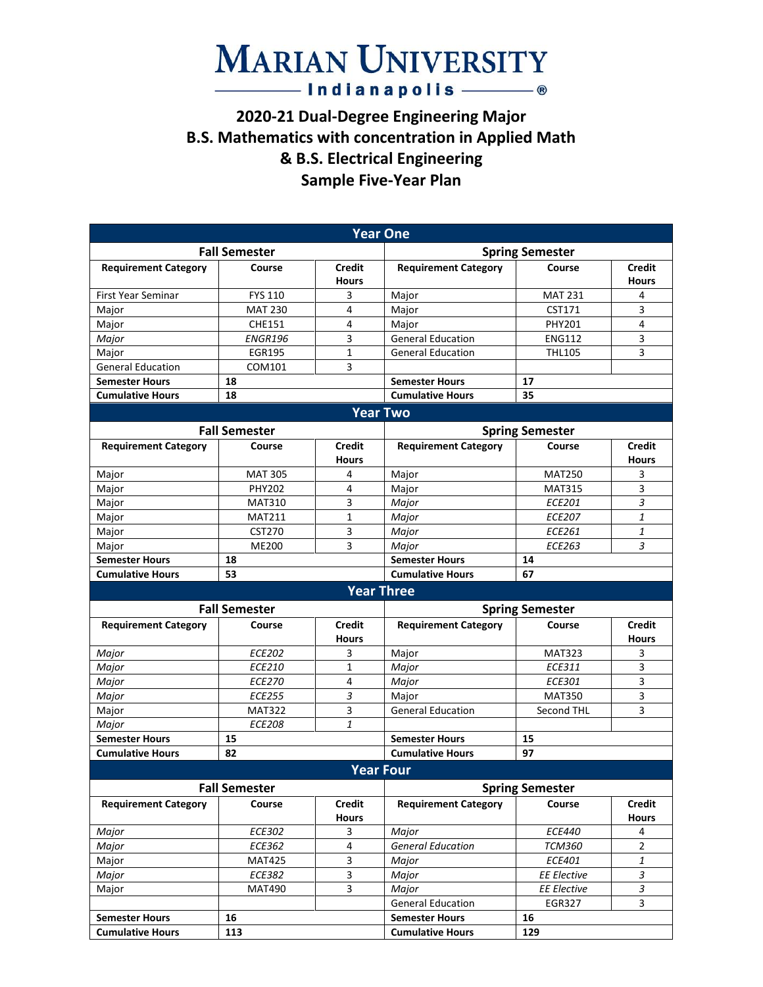### **MARIAN UNIVERSITY** — Indianapolis ——— ®

#### **2020-21 Dual-Degree Engineering Major B.S. Mathematics with concentration in Applied Math & B.S. Electrical Engineering Sample Five-Year Plan**

|                             |                      |                               | <b>Year One</b>                           |                        |                               |  |
|-----------------------------|----------------------|-------------------------------|-------------------------------------------|------------------------|-------------------------------|--|
|                             | <b>Fall Semester</b> |                               |                                           | <b>Spring Semester</b> |                               |  |
| <b>Requirement Category</b> | Course               | <b>Credit</b><br><b>Hours</b> | <b>Requirement Category</b>               | Course                 | <b>Credit</b><br><b>Hours</b> |  |
| <b>First Year Seminar</b>   | <b>FYS 110</b>       | 3                             | Major                                     | <b>MAT 231</b>         | 4                             |  |
| Major                       | <b>MAT 230</b>       | 4                             | Major                                     | CST171                 | 3                             |  |
| Major                       | <b>CHE151</b>        | 4                             | Major                                     | <b>PHY201</b>          | 4                             |  |
| Major                       | <b>ENGR196</b>       | 3                             | <b>General Education</b>                  | <b>ENG112</b>          | 3                             |  |
| Major                       | <b>EGR195</b>        | $\mathbf{1}$                  | <b>General Education</b><br><b>THL105</b> |                        | 3                             |  |
| <b>General Education</b>    | COM101               | 3                             |                                           |                        |                               |  |
| <b>Semester Hours</b>       | 18                   |                               | <b>Semester Hours</b>                     | 17                     |                               |  |
| <b>Cumulative Hours</b>     | 18                   |                               | <b>Cumulative Hours</b>                   | 35                     |                               |  |
|                             |                      |                               | <b>Year Two</b>                           |                        |                               |  |
|                             | <b>Fall Semester</b> |                               |                                           | <b>Spring Semester</b> |                               |  |
| <b>Requirement Category</b> | Course               | <b>Credit</b><br><b>Hours</b> | <b>Requirement Category</b>               | Course                 | <b>Credit</b><br><b>Hours</b> |  |
| Major                       | <b>MAT 305</b>       | 4                             | Major                                     | <b>MAT250</b>          | 3                             |  |
| Major                       | <b>PHY202</b>        | 4                             | Major                                     | <b>MAT315</b>          | 3                             |  |
| Major                       | <b>MAT310</b>        | 3                             | Major                                     | <b>ECE201</b>          | 3                             |  |
| Major                       | <b>MAT211</b>        | $\mathbf{1}$                  | Major                                     | <b>ECE207</b>          | 1                             |  |
| Major                       | <b>CST270</b>        | 3                             | Major                                     | <b>ECE261</b>          | 1                             |  |
| Major                       | <b>ME200</b>         | 3                             | Major                                     | <b>ECE263</b>          | 3                             |  |
| <b>Semester Hours</b>       | 18                   |                               | <b>Semester Hours</b>                     | 14                     |                               |  |
| <b>Cumulative Hours</b>     | 53                   |                               | <b>Cumulative Hours</b>                   | 67                     |                               |  |
|                             |                      |                               | <b>Year Three</b>                         |                        |                               |  |
|                             | <b>Fall Semester</b> |                               |                                           | <b>Spring Semester</b> |                               |  |
| <b>Requirement Category</b> | Course               | <b>Credit</b><br><b>Hours</b> | <b>Requirement Category</b>               | Course                 | <b>Credit</b><br><b>Hours</b> |  |
| Major                       | <b>ECE202</b>        | 3                             | Major                                     | <b>MAT323</b>          | 3                             |  |
| Major                       | <b>ECE210</b>        | $\mathbf{1}$                  | Major                                     | <b>ECE311</b>          | 3                             |  |
| Major                       | <b>ECE270</b>        | 4                             | Major                                     | ECE301                 | 3                             |  |
| Major                       | <b>ECE255</b>        | 3                             | Major                                     | <b>MAT350</b>          | 3                             |  |
| Major                       | <b>MAT322</b>        | 3                             | <b>General Education</b>                  | <b>Second THL</b>      | 3                             |  |
| Major                       | <b>ECE208</b>        | $\mathbf{1}$                  |                                           |                        |                               |  |
| <b>Semester Hours</b>       | 15                   |                               | <b>Semester Hours</b>                     | 15                     |                               |  |
| <b>Cumulative Hours</b>     |                      |                               |                                           |                        |                               |  |
|                             | 82                   |                               | <b>Cumulative Hours</b>                   | 97                     |                               |  |
|                             |                      |                               | <b>Year Four</b>                          |                        |                               |  |
|                             | <b>Fall Semester</b> |                               |                                           | <b>Spring Semester</b> |                               |  |
| <b>Requirement Category</b> | Course               | <b>Credit</b><br><b>Hours</b> | <b>Requirement Category</b>               | Course                 | <b>Credit</b><br><b>Hours</b> |  |
| Major                       | ECE302               | 3                             | Major                                     | <i>ECE440</i>          | 4                             |  |
| Major                       | ECE362               | $\overline{4}$                | <b>General Education</b>                  | <b>TCM360</b>          | $\overline{2}$                |  |
| Major                       | <b>MAT425</b>        | 3                             | Major                                     | ECE401                 | $\mathbf{1}$                  |  |
| Major                       | ECE382               | 3                             | Major                                     | <b>EE Elective</b>     | 3                             |  |
| Major                       | <b>MAT490</b>        | 3                             | Major                                     | <b>EE Elective</b>     | $\overline{\mathbf{3}}$       |  |
|                             |                      |                               | <b>General Education</b>                  | EGR327                 | 3                             |  |
| <b>Semester Hours</b>       | 16                   |                               | <b>Semester Hours</b>                     | 16                     |                               |  |